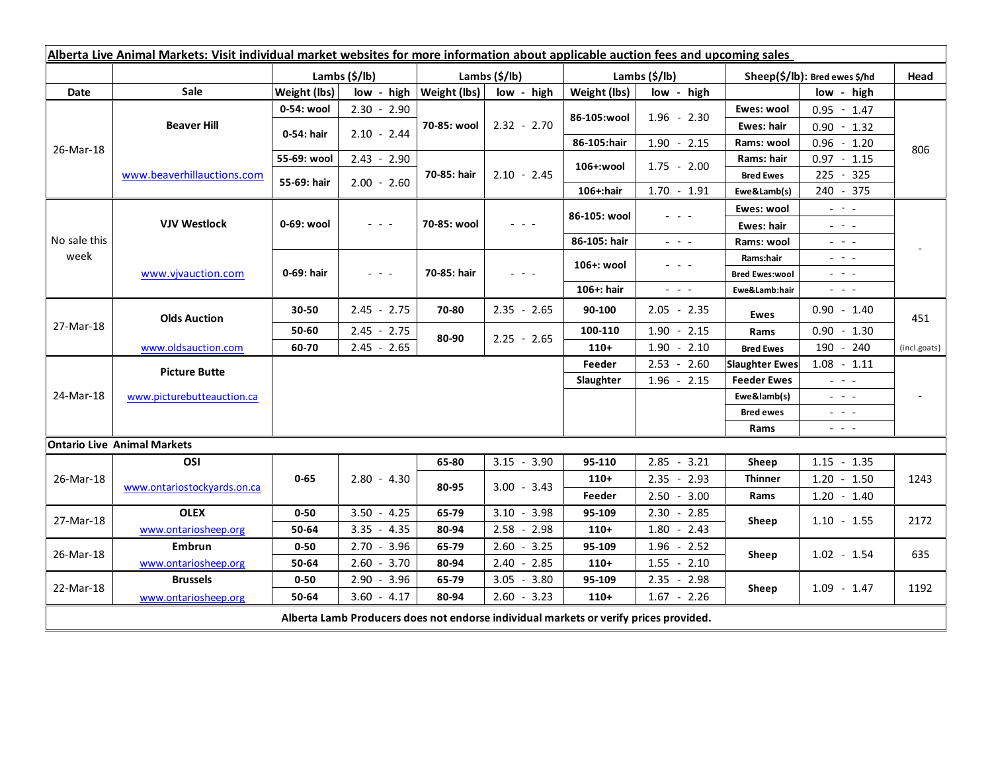| Alberta Live Animal Markets: Visit individual market websites for more information about applicable auction fees and upcoming sales |                                    |                |               |                               |                 |                           |                                                                                                                           |                               |                                                                                                                           |              |
|-------------------------------------------------------------------------------------------------------------------------------------|------------------------------------|----------------|---------------|-------------------------------|-----------------|---------------------------|---------------------------------------------------------------------------------------------------------------------------|-------------------------------|---------------------------------------------------------------------------------------------------------------------------|--------------|
|                                                                                                                                     |                                    | Lambs $(S/lb)$ |               | Lambs $(S/lb)$                |                 | Lambs $(\frac{2}{3})$ lb) |                                                                                                                           | Sheep(\$/lb): Bred ewes \$/hd |                                                                                                                           | Head         |
| Date                                                                                                                                | <b>Sale</b>                        | Weight (lbs)   |               | $low - high   Weight (lbs)  $ | low - high      | Weight (lbs)              | low - high                                                                                                                |                               | low - high                                                                                                                |              |
| 26-Mar-18                                                                                                                           | <b>Beaver Hill</b>                 | 0-54: wool     | $2.30 - 2.90$ | 70-85: wool                   | $2.32 - 2.70$   | 86-105:wool               | $1.96 - 2.30$                                                                                                             | Ewes: wool                    | $0.95 - 1.47$                                                                                                             | 806          |
|                                                                                                                                     |                                    | 0-54: hair     | $2.10 - 2.44$ |                               |                 |                           |                                                                                                                           | <b>Ewes: hair</b>             | $0.90 - 1.32$                                                                                                             |              |
|                                                                                                                                     |                                    |                |               |                               |                 | 86-105:hair               | $1.90 - 2.15$                                                                                                             | Rams: wool                    | $0.96 - 1.20$                                                                                                             |              |
|                                                                                                                                     | www.beaverhillauctions.com         | 55-69: wool    | $2.43 - 2.90$ | 70-85: hair                   | $2.10 - 2.45$   | 106+:wool                 | $1.75 - 2.00$                                                                                                             | Rams: hair                    | $0.97 - 1.15$                                                                                                             |              |
|                                                                                                                                     |                                    | 55-69: hair    | $2.00 - 2.60$ |                               |                 |                           |                                                                                                                           | <b>Bred Ewes</b>              | 225 - 325                                                                                                                 |              |
|                                                                                                                                     |                                    |                |               |                               |                 | 106+:hair                 | $1.70 - 1.91$                                                                                                             | Ewe&Lamb(s)                   | 240 - 375                                                                                                                 |              |
| No sale this<br>week                                                                                                                | <b>VJV Westlock</b>                | 0-69: wool     | $  -$         | 70-85: wool                   |                 | 86-105: wool              | 20202                                                                                                                     | Ewes: wool                    | $\omega_{\rm{eff}}=0.1$                                                                                                   |              |
|                                                                                                                                     |                                    |                |               |                               |                 |                           |                                                                                                                           | <b>Ewes: hair</b>             | $\mathbb{Z}^2 \times \mathbb{Z}^2$                                                                                        |              |
|                                                                                                                                     |                                    |                |               |                               |                 | 86-105: hair              | $\frac{1}{2} \left( \frac{1}{2} \right) \left( \frac{1}{2} \right) \left( \frac{1}{2} \right) \left( \frac{1}{2} \right)$ | Rams: wool                    | $\frac{1}{2} \left( \frac{1}{2} \right) = \frac{1}{2} \left( \frac{1}{2} \right)$                                         |              |
|                                                                                                                                     | www.vjvauction.com                 | 0-69: hair     | $  -$         | 70-85: hair                   | 20 A G          | 106+: wool                | - - -                                                                                                                     | Rams:hair                     | $\frac{1}{2} \left( \frac{1}{2} \right) = \frac{1}{2} \left( \frac{1}{2} \right) = \frac{1}{2}$                           |              |
|                                                                                                                                     |                                    |                |               |                               |                 |                           |                                                                                                                           | <b>Bred Ewes:wool</b>         | $\frac{1}{2} \left( \frac{1}{2} \right) = \frac{1}{2} \left( \frac{1}{2} \right)$                                         |              |
|                                                                                                                                     |                                    |                |               |                               |                 | 106+: hair                | $\omega_{\rm{eff}}$ , $\omega_{\rm{eff}}$ , $\omega_{\rm{eff}}$                                                           | Ewe&Lamb:hair                 | $\frac{1}{2} \left( \frac{1}{2} \right) \left( \frac{1}{2} \right) \left( \frac{1}{2} \right) \left( \frac{1}{2} \right)$ |              |
| 27-Mar-18                                                                                                                           | <b>Olds Auction</b>                | 30-50          | $2.45 - 2.75$ | 70-80                         | $2.35 - 2.65$   | 90-100                    | $2.05 - 2.35$                                                                                                             | <b>Ewes</b>                   | $0.90 - 1.40$                                                                                                             | 451          |
|                                                                                                                                     |                                    | 50-60          | $2.45 - 2.75$ | 80-90                         | $2.25 - 2.65$   | 100-110                   | $1.90 - 2.15$                                                                                                             | Rams                          | $0.90 - 1.30$                                                                                                             |              |
|                                                                                                                                     | www.oldsauction.com                | 60-70          | $2.45 - 2.65$ |                               |                 | $110+$                    | $1.90 - 2.10$                                                                                                             | <b>Bred Ewes</b>              | 190 - 240                                                                                                                 | (incl.goats) |
| 24-Mar-18                                                                                                                           | <b>Picture Butte</b>               |                |               |                               |                 | Feeder                    | $2.53 - 2.60$                                                                                                             | <b>Slaughter Ewes</b>         | $1.08 - 1.11$                                                                                                             |              |
|                                                                                                                                     |                                    |                |               |                               |                 | Slaughter                 | $1.96 - 2.15$                                                                                                             | <b>Feeder Ewes</b>            | $\mathbb{Z}^2$ and $\mathbb{Z}^2$                                                                                         |              |
|                                                                                                                                     | www.picturebutteauction.ca         |                |               |                               |                 |                           |                                                                                                                           | Ewe&lamb(s)                   | $\mathbb{L}^2 \times \mathbb{L}^2$                                                                                        |              |
|                                                                                                                                     |                                    |                |               |                               |                 |                           |                                                                                                                           | <b>Bred ewes</b>              | $\frac{1}{2} \left( \frac{1}{2} \right) = \frac{1}{2} \left( \frac{1}{2} \right)$                                         |              |
|                                                                                                                                     |                                    |                |               |                               |                 |                           |                                                                                                                           | Rams                          | $\frac{1}{2} \left( \frac{1}{2} \right) \frac{1}{2} \left( \frac{1}{2} \right) \frac{1}{2} \left( \frac{1}{2} \right)$    |              |
|                                                                                                                                     | <b>Ontario Live Animal Markets</b> |                |               |                               |                 |                           |                                                                                                                           |                               |                                                                                                                           |              |
| 26-Mar-18                                                                                                                           | OSI                                | $0 - 65$       | $2.80 - 4.30$ | 65-80                         | $3.15 - 3.90$   | 95-110                    | $2.85 - 3.21$                                                                                                             | Sheep                         | $1.15 - 1.35$                                                                                                             |              |
|                                                                                                                                     | www.ontariostockyards.on.ca        |                |               | 80-95                         | $3.00 - 3.43$   | $110+$                    | $2.35 - 2.93$                                                                                                             | <b>Thinner</b><br>Rams        | $1.20 - 1.50$                                                                                                             | 1243         |
|                                                                                                                                     |                                    |                |               |                               |                 | Feeder                    | $2.50 - 3.00$                                                                                                             |                               | $1.20 - 1.40$                                                                                                             |              |
| 27-Mar-18                                                                                                                           | <b>OLEX</b>                        | $0 - 50$       | $3.50 - 4.25$ | 65-79                         | $3.10 - 3.98$   | 95-109                    | $2.30 - 2.85$                                                                                                             | Sheep                         | $1.10 - 1.55$                                                                                                             | 2172         |
|                                                                                                                                     | www.ontariosheep.org               | 50-64          | $3.35 - 4.35$ | 80-94                         | $2.58 - 2.98$   | $110+$                    | $1.80 - 2.43$                                                                                                             |                               |                                                                                                                           |              |
| 26-Mar-18                                                                                                                           | <b>Embrun</b>                      | $0 - 50$       | $2.70 - 3.96$ | 65-79                         | $2.60 - 3.25$   | 95-109                    | $1.96 - 2.52$                                                                                                             | Sheep                         | $1.02 - 1.54$                                                                                                             | 635          |
|                                                                                                                                     | www.ontariosheep.org               | 50-64          | $2.60 - 3.70$ | 80-94                         | $2.40 - 2.85$   | $110+$                    | $1.55 - 2.10$                                                                                                             |                               |                                                                                                                           |              |
| 22-Mar-18                                                                                                                           | <b>Brussels</b>                    | $0 - 50$       | $2.90 - 3.96$ | 65-79                         | 3.05<br>$-3.80$ | 95-109                    | 2.35<br>$-2.98$                                                                                                           | Sheep                         | $1.09 - 1.47$                                                                                                             | 1192         |
|                                                                                                                                     | www.ontariosheep.org               | 50-64          | $3.60 - 4.17$ | 80-94                         | $2.60 - 3.23$   | $110+$                    | $1.67 - 2.26$                                                                                                             |                               |                                                                                                                           |              |
| Alberta Lamb Producers does not endorse individual markets or verify prices provided.                                               |                                    |                |               |                               |                 |                           |                                                                                                                           |                               |                                                                                                                           |              |